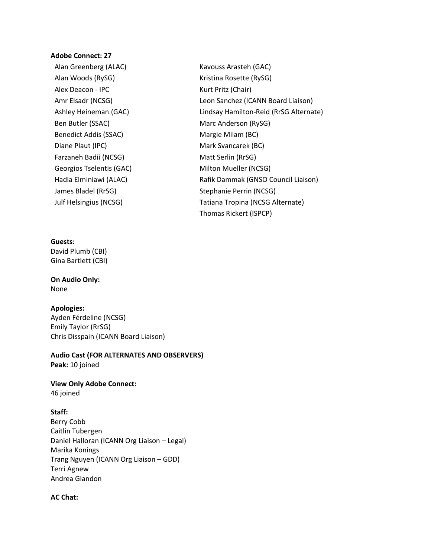### **Adobe Connect: 27**

- Alan Greenberg (ALAC) Kavouss Arasteh (GAC) Alan Woods (RySG) Manus (RySG) Kristina Rosette (RySG) Alex Deacon - IPC **Kurt Pritz** (Chair) Ben Butler (SSAC) Marc Anderson (RySG) Benedict Addis (SSAC) Margie Milam (BC) Diane Plaut (IPC) Mark Svancarek (BC) Farzaneh Badii (NCSG) Matt Serlin (RrSG) Georgios Tselentis (GAC) Milton Mueller (NCSG) James Bladel (RrSG) Stephanie Perrin (NCSG)
- Amr Elsadr (NCSG) Leon Sanchez (ICANN Board Liaison) Ashley Heineman (GAC) Lindsay Hamilton-Reid (RrSG Alternate) Hadia Elminiawi (ALAC) Manus Rafik Dammak (GNSO Council Liaison) Julf Helsingius (NCSG) Tatiana Tropina (NCSG Alternate) Thomas Rickert (ISPCP)

## **Guests:**

David Plumb (CBI) Gina Bartlett (CBI)

### **On Audio Only:** None

# **Apologies:**

Ayden Férdeline (NCSG) Emily Taylor (RrSG) Chris Disspain (ICANN Board Liaison)

## **Audio Cast (FOR ALTERNATES AND OBSERVERS) Peak:** 10 joined

**View Only Adobe Connect:**

46 joined

# **Staff:**

Berry Cobb Caitlin Tubergen Daniel Halloran (ICANN Org Liaison – Legal) Marika Konings Trang Nguyen (ICANN Org Liaison – GDD) Terri Agnew Andrea Glandon

#### **AC Chat:**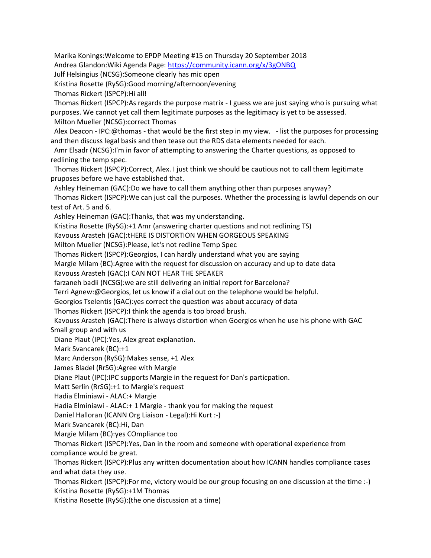Marika Konings:Welcome to EPDP Meeting #15 on Thursday 20 September 2018 Andrea Glandon:Wiki Agenda Page: <https://community.icann.org/x/3gONBQ>

Julf Helsingius (NCSG):Someone clearly has mic open

Kristina Rosette (RySG):Good morning/afternoon/evening

Thomas Rickert (ISPCP):Hi all!

 Thomas Rickert (ISPCP):As regards the purpose matrix - I guess we are just saying who is pursuing what purposes. We cannot yet call them legitimate purposes as the legitimacy is yet to be assessed.

Milton Mueller (NCSG):correct Thomas

 Alex Deacon - IPC:@thomas - that would be the first step in my view. - list the purposes for processing and then discuss legal basis and then tease out the RDS data elements needed for each.

 Amr Elsadr (NCSG):I'm in favor of attempting to answering the Charter questions, as opposed to redlining the temp spec.

 Thomas Rickert (ISPCP):Correct, Alex. I just think we should be cautious not to call them legitimate pruposes before we have established that.

 Ashley Heineman (GAC):Do we have to call them anything other than purposes anyway? Thomas Rickert (ISPCP):We can just call the purposes. Whether the processing is lawful depends on our test of Art. 5 and 6.

Ashley Heineman (GAC):Thanks, that was my understanding.

Kristina Rosette (RySG):+1 Amr (answering charter questions and not redlining TS)

Kavouss Arasteh (GAC):tHERE IS DISTORTION WHEN GORGEOUS SPEAKING

Milton Mueller (NCSG):Please, let's not redline Temp Spec

Thomas Rickert (ISPCP):Georgios, I can hardly understand what you are saying

Margie Milam (BC):Agree with the request for discussion on accuracy and up to date data

Kavouss Arasteh (GAC):I CAN NOT HEAR THE SPEAKER

farzaneh badii (NCSG):we are still delivering an initial report for Barcelona?

Terri Agnew:@Georgios, let us know if a dial out on the telephone would be helpful.

Georgios Tselentis (GAC):yes correct the question was about accuracy of data

Thomas Rickert (ISPCP):I think the agenda is too broad brush.

 Kavouss Arasteh (GAC):There is always distortion when Goergios when he use his phone with GAC Small group and with us

Diane Plaut (IPC):Yes, Alex great explanation.

Mark Svancarek (BC):+1

Marc Anderson (RySG):Makes sense, +1 Alex

James Bladel (RrSG):Agree with Margie

Diane Plaut (IPC):IPC supports Margie in the request for Dan's particpation.

Matt Serlin (RrSG):+1 to Margie's request

Hadia Elminiawi - ALAC:+ Margie

Hadia Elminiawi - ALAC:+ 1 Margie - thank you for making the request

Daniel Halloran (ICANN Org Liaison - Legal):Hi Kurt :-)

Mark Svancarek (BC):Hi, Dan

Margie Milam (BC):yes COmpliance too

 Thomas Rickert (ISPCP):Yes, Dan in the room and someone with operational experience from compliance would be great.

 Thomas Rickert (ISPCP):Plus any written documentation about how ICANN handles compliance cases and what data they use.

 Thomas Rickert (ISPCP):For me, victory would be our group focusing on one discussion at the time :-) Kristina Rosette (RySG):+1M Thomas

Kristina Rosette (RySG):(the one discussion at a time)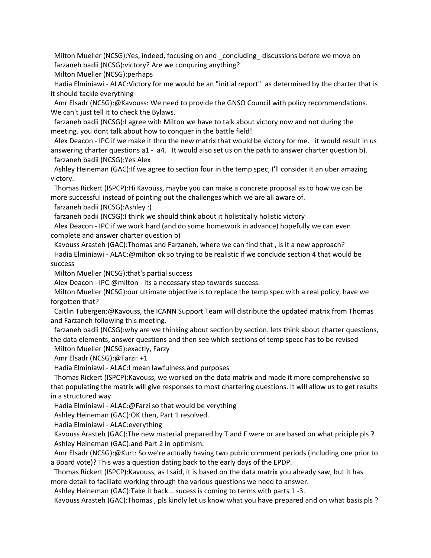Milton Mueller (NCSG):Yes, indeed, focusing on and \_concluding\_ discussions before we move on farzaneh badii (NCSG):victory? Are we conquring anything?

Milton Mueller (NCSG):perhaps

 Hadia Elminiawi - ALAC:Victory for me would be an "initial report" as determined by the charter that is it should tackle everything

 Amr Elsadr (NCSG):@Kavouss: We need to provide the GNSO Council with policy recommendations. We can't just tell it to check the Bylaws.

 farzaneh badii (NCSG):I agree with Milton we have to talk about victory now and not during the meeting. you dont talk about how to conquer in the battle field!

 Alex Deacon - IPC:if we make it thru the new matrix that would be victory for me. it would result in us answering charter questions a1 - a4. It would also set us on the path to answer charter question b). farzaneh badii (NCSG):Yes Alex

 Ashley Heineman (GAC):If we agree to section four in the temp spec, I'll consider it an uber amazing victory.

 Thomas Rickert (ISPCP):Hi Kavouss, maybe you can make a concrete proposal as to how we can be more successful instead of pointing out the challenges which we are all aware of.

farzaneh badii (NCSG):Ashley :)

farzaneh badii (NCSG):I think we should think about it holistically holistic victory

 Alex Deacon - IPC:if we work hard (and do some homework in advance) hopefully we can even complete and answer charter question b)

 Kavouss Arasteh (GAC):Thomas and Farzaneh, where we can find that , is it a new approach? Hadia Elminiawi - ALAC:@milton ok so trying to be realistic if we conclude section 4 that would be success

Milton Mueller (NCSG):that's partial success

Alex Deacon - IPC:@milton - its a necessary step towards success.

 Milton Mueller (NCSG):our ultimate objective is to replace the temp spec with a real policy, have we forgotten that?

 Caitlin Tubergen:@Kavouss, the ICANN Support Team will distribute the updated matrix from Thomas and Farzaneh following this meeting.

 farzaneh badii (NCSG):why are we thinking about section by section. lets think about charter questions, the data elements, answer questions and then see which sections of temp specc has to be revised

Milton Mueller (NCSG):exactly, Farzy

Amr Elsadr (NCSG):@Farzi: +1

Hadia Elminiawi - ALAC:I mean lawfulness and purposes

 Thomas Rickert (ISPCP):Kavouss, we worked on the data matrix and made it more comprehensive so that populating the matrix will give responses to most chartering questions. It will allow us to get results in a structured way.

Hadia Elminiawi - ALAC:@Farzi so that would be verything

Ashley Heineman (GAC):OK then, Part 1 resolved.

Hadia Elminiawi - ALAC:everything

 Kavouss Arasteh (GAC):The new material prepared by T and F were or are based on what priciple pls ? Ashley Heineman (GAC):and Part 2 in optimism.

 Amr Elsadr (NCSG):@Kurt: So we're actually having two public comment periods (including one prior to a Board vote)? This was a question dating back to the early days of the EPDP.

 Thomas Rickert (ISPCP):Kavouss, as I said, it is based on the data matrix you already saw, but it has more detail to faciliate working through the various questions we need to answer.

Ashley Heineman (GAC):Take it back... sucess is coming to terms with parts 1 -3.

Kavouss Arasteh (GAC):Thomas , pls kindly let us know what you have prepared and on what basis pls ?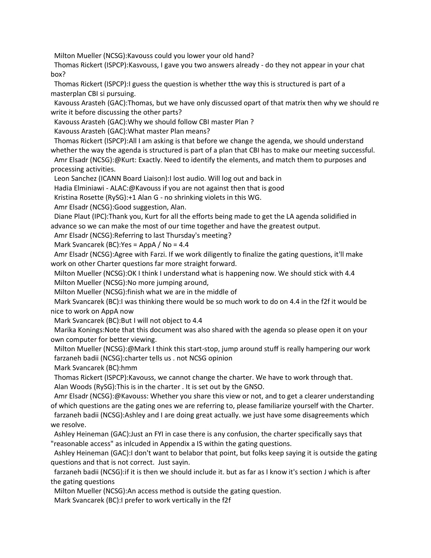Milton Mueller (NCSG):Kavouss could you lower your old hand?

 Thomas Rickert (ISPCP):Kasvouss, I gave you two answers already - do they not appear in your chat box?

 Thomas Rickert (ISPCP):I guess the question is whether tthe way this is structured is part of a masterplan CBI si pursuing.

 Kavouss Arasteh (GAC):Thomas, but we have only discussed opart of that matrix then why we should re write it before discussing the other parts?

Kavouss Arasteh (GAC):Why we should follow CBI master Plan ?

Kavouss Arasteh (GAC):What master Plan means?

 Thomas Rickert (ISPCP):All I am asking is that before we change the agenda, we should understand whether the way the agenda is structured is part of a plan that CBI has to make our meeting successful.

 Amr Elsadr (NCSG):@Kurt: Exactly. Need to identify the elements, and match them to purposes and processing activities.

Leon Sanchez (ICANN Board Liaison):I lost audio. Will log out and back in

Hadia Elminiawi - ALAC:@Kavouss if you are not against then that is good

Kristina Rosette (RySG):+1 Alan G - no shrinking violets in this WG.

Amr Elsadr (NCSG):Good suggestion, Alan.

 Diane Plaut (IPC):Thank you, Kurt for all the efforts being made to get the LA agenda solidified in advance so we can make the most of our time together and have the greatest output.

Amr Elsadr (NCSG):Referring to last Thursday's meeting?

Mark Svancarek (BC):Yes = AppA / No = 4.4

 Amr Elsadr (NCSG):Agree with Farzi. If we work diligently to finalize the gating questions, it'll make work on other Charter questions far more straight forward.

 Milton Mueller (NCSG):OK I think I understand what is happening now. We should stick with 4.4 Milton Mueller (NCSG):No more jumping around,

Milton Mueller (NCSG):finish what we are in the middle of

 Mark Svancarek (BC):I was thinking there would be so much work to do on 4.4 in the f2f it would be nice to work on AppA now

Mark Svancarek (BC):But I will not object to 4.4

 Marika Konings:Note that this document was also shared with the agenda so please open it on your own computer for better viewing.

 Milton Mueller (NCSG):@Mark I think this start-stop, jump around stuff is really hampering our work farzaneh badii (NCSG):charter tells us . not NCSG opinion

Mark Svancarek (BC):hmm

 Thomas Rickert (ISPCP):Kavouss, we cannot change the charter. We have to work through that. Alan Woods (RySG):This is in the charter . It is set out by the GNSO.

 Amr Elsadr (NCSG):@Kavouss: Whether you share this view or not, and to get a clearer understanding of which questions are the gating ones we are referring to, please familiarize yourself with the Charter. farzaneh badii (NCSG):Ashley and I are doing great actually. we just have some disagreements which we resolve.

 Ashley Heineman (GAC):Just an FYI in case there is any confusion, the charter specifically says that "reasonable access" as inlcuded in Appendix a IS within the gating questions.

 Ashley Heineman (GAC):I don't want to belabor that point, but folks keep saying it is outside the gating questions and that is not correct. Just sayin.

 farzaneh badii (NCSG):if it is then we should include it. but as far as I know it's section J which is after the gating questions

Milton Mueller (NCSG):An access method is outside the gating question.

Mark Svancarek (BC):I prefer to work vertically in the f2f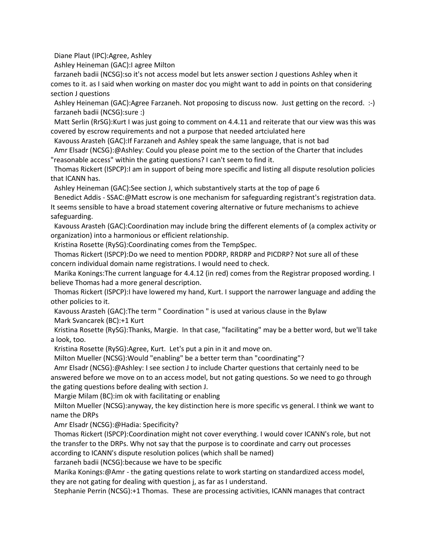Diane Plaut (IPC):Agree, Ashley

Ashley Heineman (GAC):I agree Milton

 farzaneh badii (NCSG):so it's not access model but lets answer section J questions Ashley when it comes to it. as I said when working on master doc you might want to add in points on that considering section J questions

 Ashley Heineman (GAC):Agree Farzaneh. Not proposing to discuss now. Just getting on the record. :-) farzaneh badii (NCSG):sure :)

 Matt Serlin (RrSG):Kurt I was just going to comment on 4.4.11 and reiterate that our view was this was covered by escrow requirements and not a purpose that needed artciulated here

 Kavouss Arasteh (GAC):If Farzaneh and Ashley speak the same language, that is not bad Amr Elsadr (NCSG):@Ashley: Could you please point me to the section of the Charter that includes

"reasonable access" within the gating questions? I can't seem to find it.

 Thomas Rickert (ISPCP):I am in support of being more specific and listing all dispute resolution policies that ICANN has.

Ashley Heineman (GAC):See section J, which substantively starts at the top of page 6

 Benedict Addis - SSAC:@Matt escrow is one mechanism for safeguarding registrant's registration data. It seems sensible to have a broad statement covering alternative or future mechanisms to achieve safeguarding.

 Kavouss Arasteh (GAC):Coordination may include bring the different elements of (a complex activity or organization) into a harmonious or efficient relationship.

Kristina Rosette (RySG):Coordinating comes from the TempSpec.

 Thomas Rickert (ISPCP):Do we need to mention PDDRP, RRDRP and PICDRP? Not sure all of these concern individual domain name registrations. I would need to check.

 Marika Konings:The current language for 4.4.12 (in red) comes from the Registrar proposed wording. I believe Thomas had a more general description.

 Thomas Rickert (ISPCP):I have lowered my hand, Kurt. I support the narrower language and adding the other policies to it.

 Kavouss Arasteh (GAC):The term " Coordination " is used at various clause in the Bylaw Mark Svancarek (BC):+1 Kurt

 Kristina Rosette (RySG):Thanks, Margie. In that case, "facilitating" may be a better word, but we'll take a look, too.

Kristina Rosette (RySG):Agree, Kurt. Let's put a pin in it and move on.

Milton Mueller (NCSG):Would "enabling" be a better term than "coordinating"?

 Amr Elsadr (NCSG):@Ashley: I see section J to include Charter questions that certainly need to be answered before we move on to an access model, but not gating questions. So we need to go through the gating questions before dealing with section J.

Margie Milam (BC):im ok with facilitating or enabling

 Milton Mueller (NCSG):anyway, the key distinction here is more specific vs general. I think we want to name the DRPs

Amr Elsadr (NCSG):@Hadia: Specificity?

 Thomas Rickert (ISPCP):Coordination might not cover everything. I would cover ICANN's role, but not the transfer to the DRPs. Why not say that the purpose is to coordinate and carry out processes according to ICANN's dispute resolution polices (which shall be named)

farzaneh badii (NCSG):because we have to be specific

 Marika Konings:@Amr - the gating questions relate to work starting on standardized access model, they are not gating for dealing with question j, as far as I understand.

Stephanie Perrin (NCSG):+1 Thomas. These are processing activities, ICANN manages that contract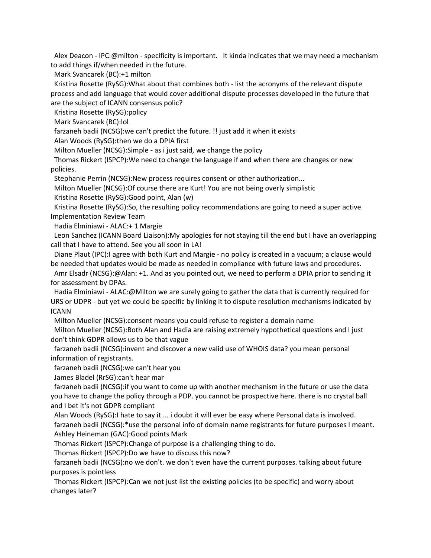Alex Deacon - IPC:@milton - specificity is important. It kinda indicates that we may need a mechanism to add things if/when needed in the future.

Mark Svancarek (BC):+1 milton

 Kristina Rosette (RySG):What about that combines both - list the acronyms of the relevant dispute process and add language that would cover additional dispute processes developed in the future that are the subject of ICANN consensus polic?

Kristina Rosette (RySG):policy

Mark Svancarek (BC):lol

farzaneh badii (NCSG):we can't predict the future. !! just add it when it exists

Alan Woods (RySG):then we do a DPIA first

Milton Mueller (NCSG):Simple - as i just said, we change the policy

 Thomas Rickert (ISPCP):We need to change the language if and when there are changes or new policies.

Stephanie Perrin (NCSG):New process requires consent or other authorization...

Milton Mueller (NCSG):Of course there are Kurt! You are not being overly simplistic

Kristina Rosette (RySG):Good point, Alan (w)

 Kristina Rosette (RySG):So, the resulting policy recommendations are going to need a super active Implementation Review Team

Hadia Elminiawi - ALAC:+ 1 Margie

 Leon Sanchez (ICANN Board Liaison):My apologies for not staying till the end but I have an overlapping call that I have to attend. See you all soon in LA!

 Diane Plaut (IPC):I agree with both Kurt and Margie - no policy is created in a vacuum; a clause would be needed that updates would be made as needed in compliance with future laws and procedures.

 Amr Elsadr (NCSG):@Alan: +1. And as you pointed out, we need to perform a DPIA prior to sending it for assessment by DPAs.

 Hadia Elminiawi - ALAC:@Milton we are surely going to gather the data that is currently required for URS or UDPR - but yet we could be specific by linking it to dispute resolution mechanisms indicated by ICANN

Milton Mueller (NCSG):consent means you could refuse to register a domain name

 Milton Mueller (NCSG):Both Alan and Hadia are raising extremely hypothetical questions and I just don't think GDPR allows us to be that vague

 farzaneh badii (NCSG):invent and discover a new valid use of WHOIS data? you mean personal information of registrants.

farzaneh badii (NCSG):we can't hear you

James Bladel (RrSG):can't hear mar

 farzaneh badii (NCSG):if you want to come up with another mechanism in the future or use the data you have to change the policy through a PDP. you cannot be prospective here. there is no crystal ball and I bet it's not GDPR compliant

 Alan Woods (RySG):I hate to say it ... i doubt it will ever be easy where Personal data is involved. farzaneh badii (NCSG):\*use the personal info of domain name registrants for future purposes I meant. Ashley Heineman (GAC):Good points Mark

Thomas Rickert (ISPCP):Change of purpose is a challenging thing to do.

Thomas Rickert (ISPCP):Do we have to discuss this now?

 farzaneh badii (NCSG):no we don't. we don't even have the current purposes. talking about future purposes is pointless

 Thomas Rickert (ISPCP):Can we not just list the existing policies (to be specific) and worry about changes later?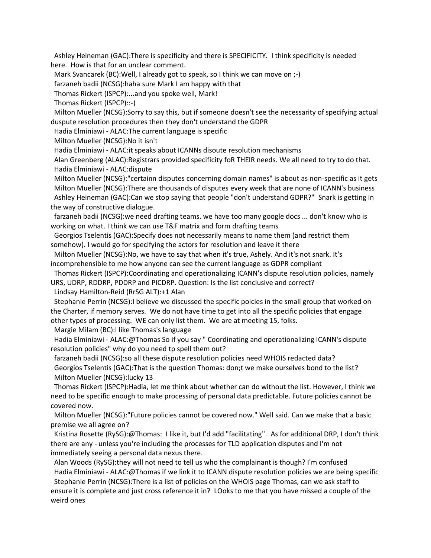Ashley Heineman (GAC):There is specificity and there is SPECIFICITY. I think specificity is needed here. How is that for an unclear comment.

Mark Svancarek (BC):Well, I already got to speak, so I think we can move on ;-)

farzaneh badii (NCSG):haha sure Mark I am happy with that

Thomas Rickert (ISPCP):...and you spoke well, Mark!

Thomas Rickert (ISPCP)::-)

 Milton Mueller (NCSG):Sorry to say this, but if someone doesn't see the necessarity of specifying actual duspute resolution procedures then they don't understand the GDPR

Hadia Elminiawi - ALAC:The current language is specific

Milton Mueller (NCSG):No it isn't

Hadia Elminiawi - ALAC:it speaks about ICANNs disoute resolution mechanisms

 Alan Greenberg (ALAC):Registrars provided specificity foR THEIR needs. We all need to try to do that. Hadia Elminiawi - ALAC:dispute

 Milton Mueller (NCSG):"certainn disputes concerning domain names" is about as non-specific as it gets Milton Mueller (NCSG):There are thousands of disputes every week that are none of ICANN's business Ashley Heineman (GAC):Can we stop saying that people "don't understand GDPR?" Snark is getting in the way of constructive dialogue.

 farzaneh badii (NCSG):we need drafting teams. we have too many google docs ... don't know who is working on what. I think we can use T&F matrix and form drafting teams

 Georgios Tselentis (GAC):Specify does not necessarily means to name them (and restrict them somehow). I would go for specifying the actors for resolution and leave it there

 Milton Mueller (NCSG):No, we have to say that when it's true, Ashely. And it's not snark. It's incomprehensible to me how anyone can see the current language as GDPR compliant

 Thomas Rickert (ISPCP):Coordinating and operationalizing ICANN's dispute resolution policies, namely URS, UDRP, RDDRP, PDDRP and PICDRP. Question: Is the list conclusive and correct?

Lindsay Hamilton-Reid (RrSG ALT):+1 Alan

 Stephanie Perrin (NCSG):I believe we discussed the specific poicies in the small group that worked on the Charter, if memory serves. We do not have time to get into all the specific policies that engage other types of processing. WE can only list them. We are at meeting 15, folks.

Margie Milam (BC):I like Thomas's language

 Hadia Elminiawi - ALAC:@Thomas So if you say " Coordinating and operationalizing ICANN's dispute resolution policies" why do you need tp spell them out?

 farzaneh badii (NCSG):so all these dispute resolution policies need WHOIS redacted data? Georgios Tselentis (GAC):That is the question Thomas: don;t we make ourselves bond to the list? Milton Mueller (NCSG):lucky 13

 Thomas Rickert (ISPCP):Hadia, let me think about whether can do without the list. However, I think we need to be specific enough to make processing of personal data predictable. Future policies cannot be covered now.

 Milton Mueller (NCSG):"Future policies cannot be covered now." Well said. Can we make that a basic premise we all agree on?

 Kristina Rosette (RySG):@Thomas: I like it, but I'd add "facilitating". As for additional DRP, I don't think there are any - unless you're including the processes for TLD application disputes and I'm not immediately seeing a personal data nexus there.

 Alan Woods (RySG):they will not need to tell us who the complainant is though? I'm confused Hadia Elminiawi - ALAC:@Thomas if we link it to ICANN dispute resolution policies we are being specific

 Stephanie Perrin (NCSG):There is a list of policies on the WHOIS page Thomas, can we ask staff to ensure it is complete and just cross reference it in? LOoks to me that you have missed a couple of the weird ones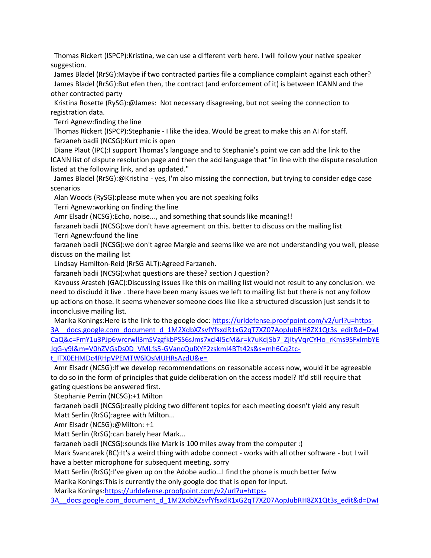Thomas Rickert (ISPCP):Kristina, we can use a different verb here. I will follow your native speaker suggestion.

 James Bladel (RrSG):Maybe if two contracted parties file a compliance complaint against each other? James Bladel (RrSG):But efen then, the contract (and enforcement of it) is between ICANN and the other contracted party

 Kristina Rosette (RySG):@James: Not necessary disagreeing, but not seeing the connection to registration data.

Terri Agnew:finding the line

 Thomas Rickert (ISPCP):Stephanie - I like the idea. Would be great to make this an AI for staff. farzaneh badii (NCSG):Kurt mic is open

 Diane Plaut (IPC):I support Thomas's language and to Stephanie's point we can add the link to the ICANN list of dispute resolution page and then the add language that "in line with the dispute resolution listed at the following link, and as updated."

 James Bladel (RrSG):@Kristina - yes, I'm also missing the connection, but trying to consider edge case scenarios

Alan Woods (RySG):please mute when you are not speaking folks

Terri Agnew:working on finding the line

Amr Elsadr (NCSG):Echo, noise..., and something that sounds like moaning!!

 farzaneh badii (NCSG):we don't have agreement on this. better to discuss on the mailing list Terri Agnew:found the line

 farzaneh badii (NCSG):we don't agree Margie and seems like we are not understanding you well, please discuss on the mailing list

Lindsay Hamilton-Reid (RrSG ALT):Agreed Farzaneh.

farzaneh badii (NCSG):what questions are these? section J question?

 Kavouss Arasteh (GAC):Discussing issues like this on mailing list would not result to any conclusion. we need to disciudd it live . there have been many issues we left to mailing list but there is not any follow up actions on those. It seems whenever someone does like like a structured discussion just sends it to inconclusive mailing list.

Marika Konings: Here is the link to the google doc: [https://urldefense.proofpoint.com/v2/url?u=https-](https://urldefense.proofpoint.com/v2/url?u=https-3A__docs.google.com_document_d_1M2XdbXZsvfYfsxdR1xG2qT7XZ07AopJubRH8ZX1Qt3s_edit&d=DwICaQ&c=FmY1u3PJp6wrcrwll3mSVzgfkbPSS6sJms7xcl4I5cM&r=k7uKdjSb7_ZjItyVqrCYHo_rKms9SFxlmbYEJqG-y9I&m=V0hZVGsDs0D_VMLfs5-GVancQuIXYF2zskml4BTt42s&s=mh6Cq2tc-t_ITX0EHMDc4RHpVPEMTW6lOsMUHRsAzdU&e=)3A docs.google.com document d 1M2XdbXZsvfYfsxdR1xG2qT7XZ07AopJubRH8ZX1Qt3s\_edit&d=DwI [CaQ&c=FmY1u3PJp6wrcrwll3mSVzgfkbPSS6sJms7xcl4I5cM&r=k7uKdjSb7\\_ZjItyVqrCYHo\\_rKms9SFxlmbYE](https://urldefense.proofpoint.com/v2/url?u=https-3A__docs.google.com_document_d_1M2XdbXZsvfYfsxdR1xG2qT7XZ07AopJubRH8ZX1Qt3s_edit&d=DwICaQ&c=FmY1u3PJp6wrcrwll3mSVzgfkbPSS6sJms7xcl4I5cM&r=k7uKdjSb7_ZjItyVqrCYHo_rKms9SFxlmbYEJqG-y9I&m=V0hZVGsDs0D_VMLfs5-GVancQuIXYF2zskml4BTt42s&s=mh6Cq2tc-t_ITX0EHMDc4RHpVPEMTW6lOsMUHRsAzdU&e=) [JqG-y9I&m=V0hZVGsDs0D\\_VMLfs5-GVancQuIXYF2zskml4BTt42s&s=mh6Cq2tc](https://urldefense.proofpoint.com/v2/url?u=https-3A__docs.google.com_document_d_1M2XdbXZsvfYfsxdR1xG2qT7XZ07AopJubRH8ZX1Qt3s_edit&d=DwICaQ&c=FmY1u3PJp6wrcrwll3mSVzgfkbPSS6sJms7xcl4I5cM&r=k7uKdjSb7_ZjItyVqrCYHo_rKms9SFxlmbYEJqG-y9I&m=V0hZVGsDs0D_VMLfs5-GVancQuIXYF2zskml4BTt42s&s=mh6Cq2tc-t_ITX0EHMDc4RHpVPEMTW6lOsMUHRsAzdU&e=)[t\\_ITX0EHMDc4RHpVPEMTW6lOsMUHRsAzdU&e=](https://urldefense.proofpoint.com/v2/url?u=https-3A__docs.google.com_document_d_1M2XdbXZsvfYfsxdR1xG2qT7XZ07AopJubRH8ZX1Qt3s_edit&d=DwICaQ&c=FmY1u3PJp6wrcrwll3mSVzgfkbPSS6sJms7xcl4I5cM&r=k7uKdjSb7_ZjItyVqrCYHo_rKms9SFxlmbYEJqG-y9I&m=V0hZVGsDs0D_VMLfs5-GVancQuIXYF2zskml4BTt42s&s=mh6Cq2tc-t_ITX0EHMDc4RHpVPEMTW6lOsMUHRsAzdU&e=)

 Amr Elsadr (NCSG):If we develop recommendations on reasonable access now, would it be agreeable to do so in the form of principles that guide deliberation on the access model? It'd still require that gating questions be answered first.

Stephanie Perrin (NCSG):+1 Milton

 farzaneh badii (NCSG):really picking two different topics for each meeting doesn't yield any result Matt Serlin (RrSG):agree with Milton...

Amr Elsadr (NCSG):@Milton: +1

Matt Serlin (RrSG):can barely hear Mark...

farzaneh badii (NCSG):sounds like Mark is 100 miles away from the computer :)

 Mark Svancarek (BC):It's a weird thing with adobe connect - works with all other software - but I will have a better microphone for subsequent meeting, sorry

 Matt Serlin (RrSG):I've given up on the Adobe audio...I find the phone is much better fwiw Marika Konings:This is currently the only google doc that is open for input.

Marika Konings[:https://urldefense.proofpoint.com/v2/url?u=https-](https://urldefense.proofpoint.com/v2/url?u=https-3A__docs.google.com_document_d_1M2XdbXZsvfYfsxdR1xG2qT7XZ07AopJubRH8ZX1Qt3s_edit&d=DwICaQ&c=FmY1u3PJp6wrcrwll3mSVzgfkbPSS6sJms7xcl4I5cM&r=k7uKdjSb7_ZjItyVqrCYHo_rKms9SFxlmbYEJqG-y9I&m=V0hZVGsDs0D_VMLfs5-GVancQuIXYF2zskml4BTt42s&s=mh6Cq2tc-t_ITX0EHMDc4RHpVPEMTW6lOsMUHRsAzdU&e=)

3A docs.google.com document d 1M2XdbXZsvfYfsxdR1xG2qT7XZ07AopJubRH8ZX1Qt3s\_edit&d=DwI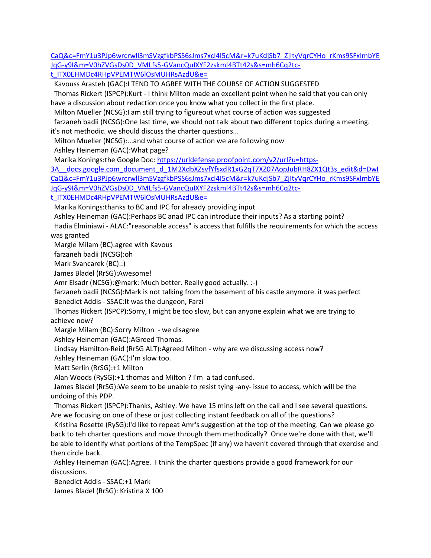[CaQ&c=FmY1u3PJp6wrcrwll3mSVzgfkbPSS6sJms7xcl4I5cM&r=k7uKdjSb7\\_ZjItyVqrCYHo\\_rKms9SFxlmbYE](https://urldefense.proofpoint.com/v2/url?u=https-3A__docs.google.com_document_d_1M2XdbXZsvfYfsxdR1xG2qT7XZ07AopJubRH8ZX1Qt3s_edit&d=DwICaQ&c=FmY1u3PJp6wrcrwll3mSVzgfkbPSS6sJms7xcl4I5cM&r=k7uKdjSb7_ZjItyVqrCYHo_rKms9SFxlmbYEJqG-y9I&m=V0hZVGsDs0D_VMLfs5-GVancQuIXYF2zskml4BTt42s&s=mh6Cq2tc-t_ITX0EHMDc4RHpVPEMTW6lOsMUHRsAzdU&e=) [JqG-y9I&m=V0hZVGsDs0D\\_VMLfs5-GVancQuIXYF2zskml4BTt42s&s=mh6Cq2tc](https://urldefense.proofpoint.com/v2/url?u=https-3A__docs.google.com_document_d_1M2XdbXZsvfYfsxdR1xG2qT7XZ07AopJubRH8ZX1Qt3s_edit&d=DwICaQ&c=FmY1u3PJp6wrcrwll3mSVzgfkbPSS6sJms7xcl4I5cM&r=k7uKdjSb7_ZjItyVqrCYHo_rKms9SFxlmbYEJqG-y9I&m=V0hZVGsDs0D_VMLfs5-GVancQuIXYF2zskml4BTt42s&s=mh6Cq2tc-t_ITX0EHMDc4RHpVPEMTW6lOsMUHRsAzdU&e=)[t\\_ITX0EHMDc4RHpVPEMTW6lOsMUHRsAzdU&e=](https://urldefense.proofpoint.com/v2/url?u=https-3A__docs.google.com_document_d_1M2XdbXZsvfYfsxdR1xG2qT7XZ07AopJubRH8ZX1Qt3s_edit&d=DwICaQ&c=FmY1u3PJp6wrcrwll3mSVzgfkbPSS6sJms7xcl4I5cM&r=k7uKdjSb7_ZjItyVqrCYHo_rKms9SFxlmbYEJqG-y9I&m=V0hZVGsDs0D_VMLfs5-GVancQuIXYF2zskml4BTt42s&s=mh6Cq2tc-t_ITX0EHMDc4RHpVPEMTW6lOsMUHRsAzdU&e=)

 Kavouss Arasteh (GAC):I TEND TO AGREE WITH THE COURSE OF ACTION SUGGESTED Thomas Rickert (ISPCP):Kurt - I think Milton made an excellent point when he said that you can only

have a discussion about redaction once you know what you collect in the first place.

Milton Mueller (NCSG):I am still trying to figureout what course of action was suggested

 farzaneh badii (NCSG):One last time, we should not talk about two different topics during a meeting. it's not methodic. we should discuss the charter questions...

Milton Mueller (NCSG):...and what course of action we are following now

Ashley Heineman (GAC):What page?

Marika Konings:the Google Doc: [https://urldefense.proofpoint.com/v2/url?u=https-](https://urldefense.proofpoint.com/v2/url?u=https-3A__docs.google.com_document_d_1M2XdbXZsvfYfsxdR1xG2qT7XZ07AopJubRH8ZX1Qt3s_edit&d=DwICaQ&c=FmY1u3PJp6wrcrwll3mSVzgfkbPSS6sJms7xcl4I5cM&r=k7uKdjSb7_ZjItyVqrCYHo_rKms9SFxlmbYEJqG-y9I&m=V0hZVGsDs0D_VMLfs5-GVancQuIXYF2zskml4BTt42s&s=mh6Cq2tc-t_ITX0EHMDc4RHpVPEMTW6lOsMUHRsAzdU&e=)

3A docs.google.com document d 1M2XdbXZsvfYfsxdR1xG2qT7XZ07AopJubRH8ZX1Qt3s\_edit&d=DwI [CaQ&c=FmY1u3PJp6wrcrwll3mSVzgfkbPSS6sJms7xcl4I5cM&r=k7uKdjSb7\\_ZjItyVqrCYHo\\_rKms9SFxlmbYE](https://urldefense.proofpoint.com/v2/url?u=https-3A__docs.google.com_document_d_1M2XdbXZsvfYfsxdR1xG2qT7XZ07AopJubRH8ZX1Qt3s_edit&d=DwICaQ&c=FmY1u3PJp6wrcrwll3mSVzgfkbPSS6sJms7xcl4I5cM&r=k7uKdjSb7_ZjItyVqrCYHo_rKms9SFxlmbYEJqG-y9I&m=V0hZVGsDs0D_VMLfs5-GVancQuIXYF2zskml4BTt42s&s=mh6Cq2tc-t_ITX0EHMDc4RHpVPEMTW6lOsMUHRsAzdU&e=) [JqG-y9I&m=V0hZVGsDs0D\\_VMLfs5-GVancQuIXYF2zskml4BTt42s&s=mh6Cq2tc-](https://urldefense.proofpoint.com/v2/url?u=https-3A__docs.google.com_document_d_1M2XdbXZsvfYfsxdR1xG2qT7XZ07AopJubRH8ZX1Qt3s_edit&d=DwICaQ&c=FmY1u3PJp6wrcrwll3mSVzgfkbPSS6sJms7xcl4I5cM&r=k7uKdjSb7_ZjItyVqrCYHo_rKms9SFxlmbYEJqG-y9I&m=V0hZVGsDs0D_VMLfs5-GVancQuIXYF2zskml4BTt42s&s=mh6Cq2tc-t_ITX0EHMDc4RHpVPEMTW6lOsMUHRsAzdU&e=)

[t\\_ITX0EHMDc4RHpVPEMTW6lOsMUHRsAzdU&e=](https://urldefense.proofpoint.com/v2/url?u=https-3A__docs.google.com_document_d_1M2XdbXZsvfYfsxdR1xG2qT7XZ07AopJubRH8ZX1Qt3s_edit&d=DwICaQ&c=FmY1u3PJp6wrcrwll3mSVzgfkbPSS6sJms7xcl4I5cM&r=k7uKdjSb7_ZjItyVqrCYHo_rKms9SFxlmbYEJqG-y9I&m=V0hZVGsDs0D_VMLfs5-GVancQuIXYF2zskml4BTt42s&s=mh6Cq2tc-t_ITX0EHMDc4RHpVPEMTW6lOsMUHRsAzdU&e=)

Marika Konings:thanks to BC and IPC for already providing input

Ashley Heineman (GAC):Perhaps BC anad IPC can introduce their inputs? As a starting point?

 Hadia Elminiawi - ALAC:"reasonable access" is access that fulfills the requirements for which the access was granted

Margie Milam (BC):agree with Kavous

farzaneh badii (NCSG):oh

Mark Svancarek (BC)::)

James Bladel (RrSG):Awesome!

Amr Elsadr (NCSG):@mark: Much better. Really good actually. :-)

 farzaneh badii (NCSG):Mark is not talking from the basement of his castle anymore. it was perfect Benedict Addis - SSAC:It was the dungeon, Farzi

 Thomas Rickert (ISPCP):Sorry, I might be too slow, but can anyone explain what we are trying to achieve now?

Margie Milam (BC):Sorry Milton - we disagree

Ashley Heineman (GAC):AGreed Thomas.

Lindsay Hamilton-Reid (RrSG ALT):Agreed Milton - why are we discussing access now?

Ashley Heineman (GAC):I'm slow too.

Matt Serlin (RrSG):+1 Milton

Alan Woods (RySG):+1 thomas and Milton ? I'm a tad confused.

 James Bladel (RrSG):We seem to be unable to resist tying -any- issue to access, which will be the undoing of this PDP.

 Thomas Rickert (ISPCP):Thanks, Ashley. We have 15 mins left on the call and I see several questions. Are we focusing on one of these or just collecting instant feedback on all of the questions?

 Kristina Rosette (RySG):I'd like to repeat Amr's suggestion at the top of the meeting. Can we please go back to teh charter questions and move through them methodically? Once we're done with that, we'll be able to identify what portions of the TempSpec (if any) we haven't covered through that exercise and then circle back.

 Ashley Heineman (GAC):Agree. I think the charter questions provide a good framework for our discussions.

 Benedict Addis - SSAC:+1 Mark James Bladel (RrSG): Kristina X 100